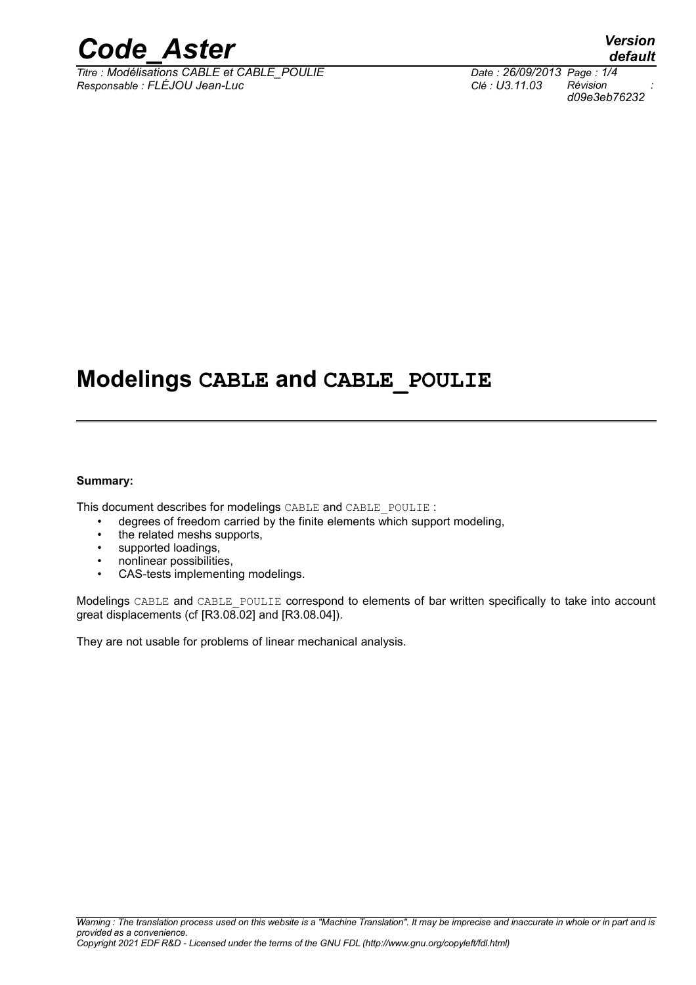

*Titre : Modélisations CABLE et CABLE\_POULIE Date : 26/09/2013 Page : 1/4 Responsable : FLÉJOU Jean-Luc Clé : U3.11.03 Révision :*

## **Modelings CABLE and CABLE\_POULIE**

#### **Summary:**

This document describes for modelings CABLE and CABLE\_POULIE :

- degrees of freedom carried by the finite elements which support modeling,
- the related meshs supports,
- supported loadings,
- nonlinear possibilities,
- CAS-tests implementing modelings.

Modelings CABLE and CABLE\_POULIE correspond to elements of bar written specifically to take into account great displacements (cf [R3.08.02] and [R3.08.04]).

They are not usable for problems of linear mechanical analysis.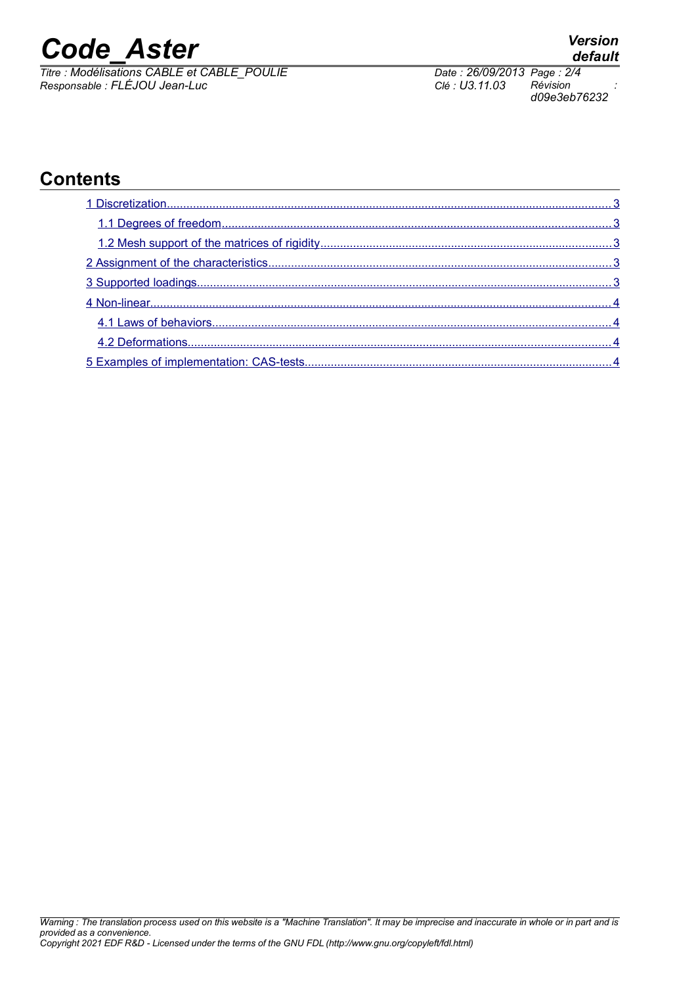# *Code\_Aster Version*

*Titre : Modélisations CABLE et CABLE\_POULIE Date : 26/09/2013 Page : 2/4 Responsable : FLÉJOU Jean-Luc Clé : U3.11.03 Révision :*

*d09e3eb76232*

## **Contents**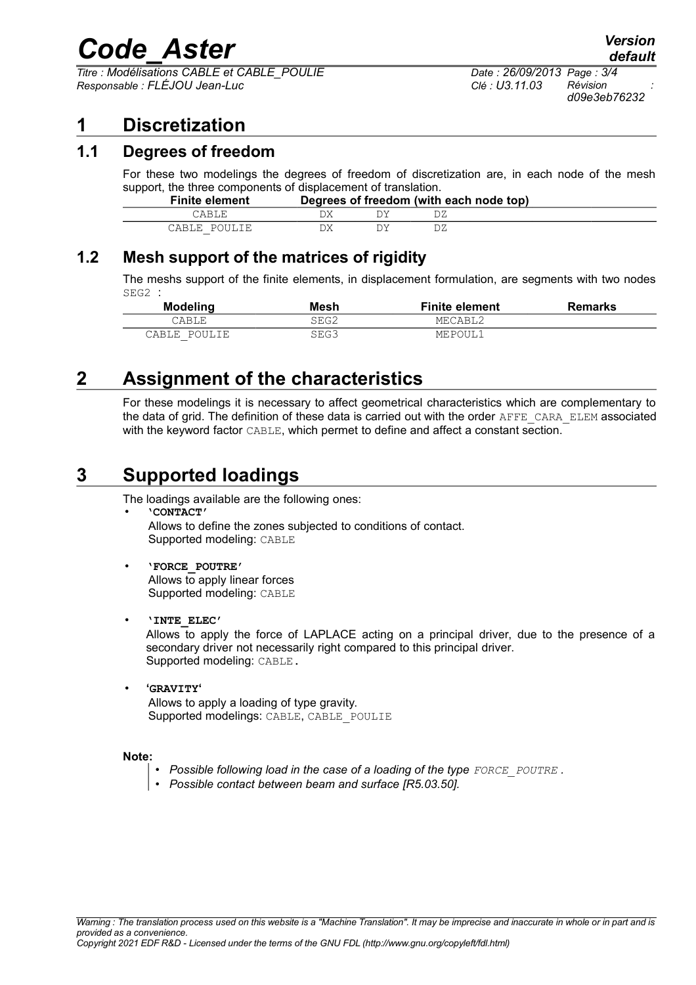## *Code\_Aster Version*

*Titre : Modélisations CABLE et CABLE\_POULIE Date : 26/09/2013 Page : 3/4 Responsable : FLÉJOU Jean-Luc Clé : U3.11.03 Révision :*

## <span id="page-2-4"></span>**1 Discretization**

#### **1.1 Degrees of freedom**

<span id="page-2-3"></span>For these two modelings the degrees of freedom of discretization are, in each node of the mesh support, the three components of displacement of translation.

| <b>Finite element</b> |  | Degrees of freedom (with each node top) |  |
|-----------------------|--|-----------------------------------------|--|
| `ARLE                 |  |                                         |  |
| CABLE POULIE          |  |                                         |  |

### **1.2 Mesh support of the matrices of rigidity**

<span id="page-2-2"></span>The meshs support of the finite elements, in displacement formulation, are segments with two nodes SEG2 :

| <b>Modeling</b> | Mesh | <b>Finite element</b> | <b>Remarks</b> |
|-----------------|------|-----------------------|----------------|
| CABLE           | SEG2 | MECABL2               |                |
| POULIE<br>CABLE | SEG3 | MEPOUL1               |                |

## **2 Assignment of the characteristics**

<span id="page-2-1"></span>For these modelings it is necessary to affect geometrical characteristics which are complementary to the data of grid. The definition of these data is carried out with the order AFFE\_CARA\_ELEM associated with the keyword factor CABLE, which permet to define and affect a constant section.

## **3 Supported loadings**

<span id="page-2-0"></span>The loadings available are the following ones:

• **'CONTACT'** Allows to define the zones subjected to conditions of contact. Supported modeling: CABLE

• **'FORCE\_POUTRE'** Allows to apply linear forces Supported modeling: CABLE

#### • **'INTE\_ELEC'**

Allows to apply the force of LAPLACE acting on a principal driver, due to the presence of a secondary driver not necessarily right compared to this principal driver. Supported modeling: CABLE.

• **'GRAVITY'** Allows to apply a loading of type gravity. Supported modelings: CABLE, CABLE\_POULIE

#### **Note:**

- *Possible following load in the case of a loading of the type FORCE\_POUTRE .*
- *Possible contact between beam and surface [R5.03.50].*